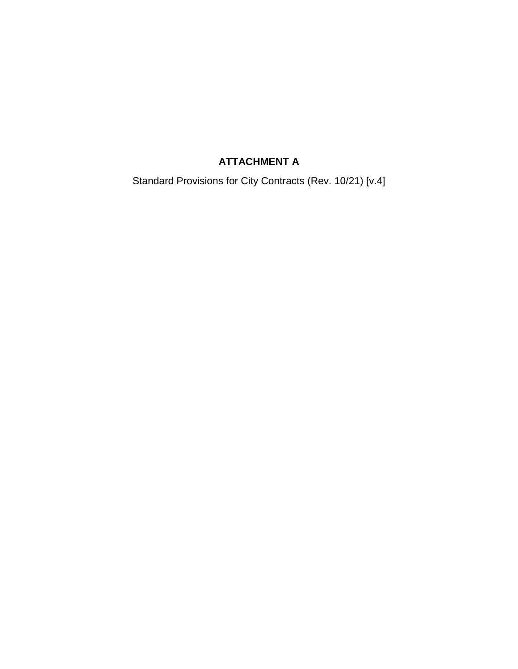# **ATTACHMENT A**

Standard Provisions for City Contracts (Rev. 10/21) [v.4]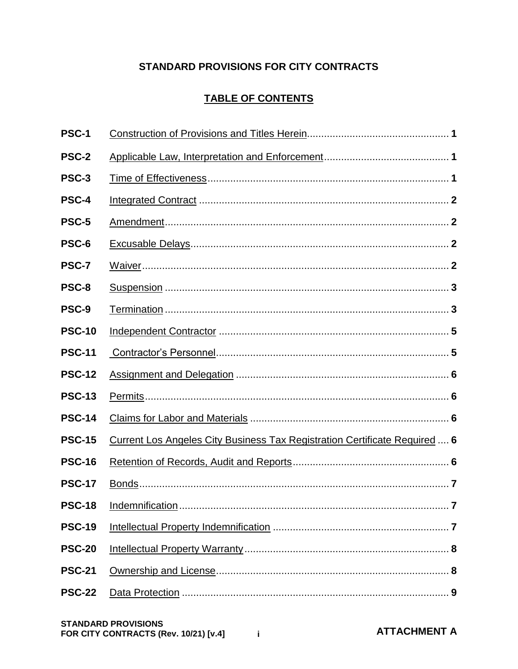# **STANDARD PROVISIONS FOR CITY CONTRACTS**

# **TABLE OF CONTENTS**

| PSC-1         |                                                                            |  |
|---------------|----------------------------------------------------------------------------|--|
| PSC-2         |                                                                            |  |
| PSC-3         |                                                                            |  |
| PSC-4         |                                                                            |  |
| PSC-5         |                                                                            |  |
| PSC-6         |                                                                            |  |
| PSC-7         |                                                                            |  |
| PSC-8         |                                                                            |  |
| PSC-9         |                                                                            |  |
| <b>PSC-10</b> |                                                                            |  |
| <b>PSC-11</b> |                                                                            |  |
| <b>PSC-12</b> |                                                                            |  |
| <b>PSC-13</b> |                                                                            |  |
| <b>PSC-14</b> |                                                                            |  |
| <b>PSC-15</b> | Current Los Angeles City Business Tax Registration Certificate Required  6 |  |
| <b>PSC-16</b> |                                                                            |  |
| <b>PSC-17</b> |                                                                            |  |
|               |                                                                            |  |
| <b>PSC-19</b> |                                                                            |  |
| <b>PSC-20</b> |                                                                            |  |
| <b>PSC-21</b> |                                                                            |  |
| <b>PSC-22</b> |                                                                            |  |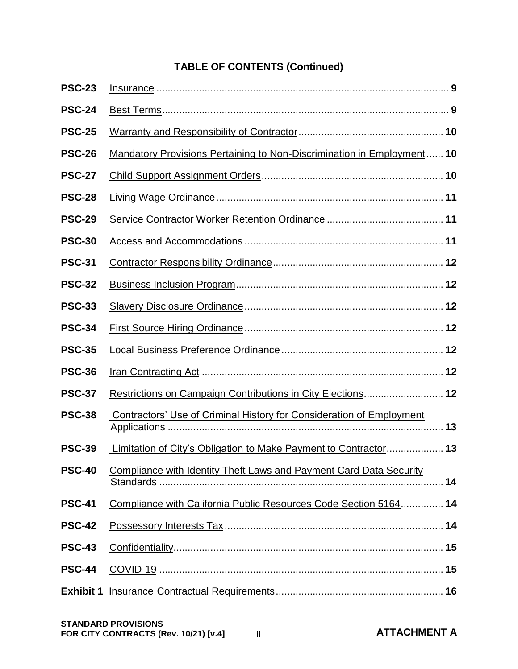# **TABLE OF CONTENTS (Continued)**

| <b>PSC-23</b>    |                                                                               |    |
|------------------|-------------------------------------------------------------------------------|----|
| <b>PSC-24</b>    |                                                                               |    |
| <b>PSC-25</b>    |                                                                               |    |
| <b>PSC-26</b>    | <b>Mandatory Provisions Pertaining to Non-Discrimination in Employment 10</b> |    |
| <b>PSC-27</b>    |                                                                               |    |
| <b>PSC-28</b>    |                                                                               |    |
| <b>PSC-29</b>    |                                                                               |    |
| <b>PSC-30</b>    |                                                                               |    |
| <b>PSC-31</b>    |                                                                               |    |
| <b>PSC-32</b>    |                                                                               |    |
| <b>PSC-33</b>    |                                                                               |    |
| <b>PSC-34</b>    |                                                                               |    |
| <b>PSC-35</b>    |                                                                               |    |
| <b>PSC-36</b>    |                                                                               |    |
| <b>PSC-37</b>    | Restrictions on Campaign Contributions in City Elections 12                   |    |
| <b>PSC-38</b>    | Contractors' Use of Criminal History for Consideration of Employment          |    |
| <b>PSC-39</b>    | Limitation of City's Obligation to Make Payment to Contractor 13              |    |
| <b>PSC-40</b>    | Compliance with Identity Theft Laws and Payment Card Data Security            | 14 |
| <b>PSC-41</b>    | Compliance with California Public Resources Code Section 5164 14              |    |
| <b>PSC-42</b>    |                                                                               |    |
| <b>PSC-43</b>    |                                                                               |    |
| <b>PSC-44</b>    |                                                                               |    |
| <b>Exhibit 1</b> |                                                                               |    |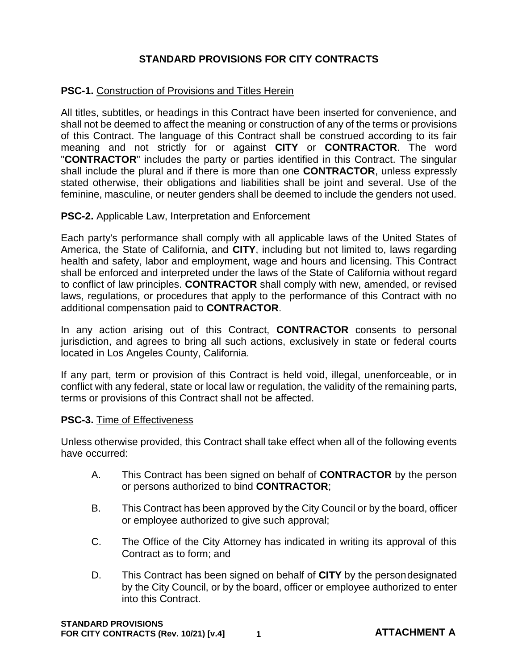# **STANDARD PROVISIONS FOR CITY CONTRACTS**

## **PSC-1. Construction of Provisions and Titles Herein**

All titles, subtitles, or headings in this Contract have been inserted for convenience, and shall not be deemed to affect the meaning or construction of any of the terms or provisions of this Contract. The language of this Contract shall be construed according to its fair meaning and not strictly for or against **CITY** or **CONTRACTOR**. The word "**CONTRACTOR**" includes the party or parties identified in this Contract. The singular shall include the plural and if there is more than one **CONTRACTOR**, unless expressly stated otherwise, their obligations and liabilities shall be joint and several. Use of the feminine, masculine, or neuter genders shall be deemed to include the genders not used.

#### **PSC-2.** Applicable Law, Interpretation and Enforcement

Each party's performance shall comply with all applicable laws of the United States of America, the State of California, and **CITY**, including but not limited to, laws regarding health and safety, labor and employment, wage and hours and licensing. This Contract shall be enforced and interpreted under the laws of the State of California without regard to conflict of law principles. **CONTRACTOR** shall comply with new, amended, or revised laws, regulations, or procedures that apply to the performance of this Contract with no additional compensation paid to **CONTRACTOR**.

In any action arising out of this Contract, **CONTRACTOR** consents to personal jurisdiction, and agrees to bring all such actions, exclusively in state or federal courts located in Los Angeles County, California.

If any part, term or provision of this Contract is held void, illegal, unenforceable, or in conflict with any federal, state or local law or regulation, the validity of the remaining parts, terms or provisions of this Contract shall not be affected.

#### **PSC-3.** Time of Effectiveness

Unless otherwise provided, this Contract shall take effect when all of the following events have occurred:

- A. This Contract has been signed on behalf of **CONTRACTOR** by the person or persons authorized to bind **CONTRACTOR**;
- B. This Contract has been approved by the City Council or by the board, officer or employee authorized to give such approval;
- C. The Office of the City Attorney has indicated in writing its approval of this Contract as to form; and
- D. This Contract has been signed on behalf of **CITY** by the persondesignated by the City Council, or by the board, officer or employee authorized to enter into this Contract.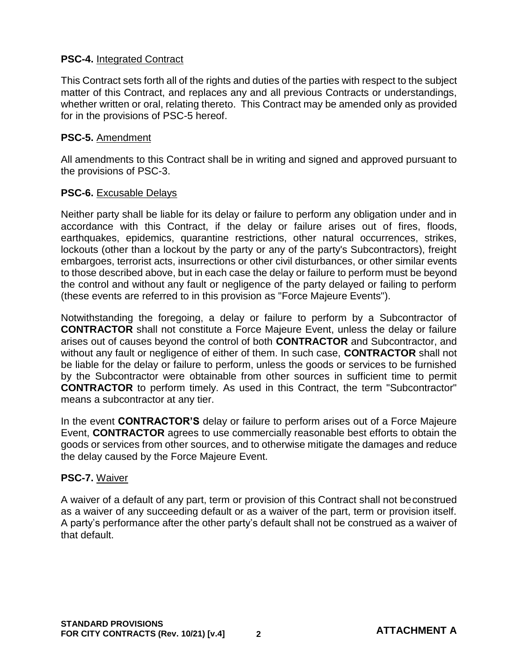## **PSC-4.** Integrated Contract

This Contract sets forth all of the rights and duties of the parties with respect to the subject matter of this Contract, and replaces any and all previous Contracts or understandings, whether written or oral, relating thereto. This Contract may be amended only as provided for in the provisions of PSC-5 hereof.

## **PSC-5.** Amendment

All amendments to this Contract shall be in writing and signed and approved pursuant to the provisions of PSC-3.

## **PSC-6.** Excusable Delays

Neither party shall be liable for its delay or failure to perform any obligation under and in accordance with this Contract, if the delay or failure arises out of fires, floods, earthquakes, epidemics, quarantine restrictions, other natural occurrences, strikes, lockouts (other than a lockout by the party or any of the party's Subcontractors), freight embargoes, terrorist acts, insurrections or other civil disturbances, or other similar events to those described above, but in each case the delay or failure to perform must be beyond the control and without any fault or negligence of the party delayed or failing to perform (these events are referred to in this provision as "Force Majeure Events").

Notwithstanding the foregoing, a delay or failure to perform by a Subcontractor of **CONTRACTOR** shall not constitute a Force Majeure Event, unless the delay or failure arises out of causes beyond the control of both **CONTRACTOR** and Subcontractor, and without any fault or negligence of either of them. In such case, **CONTRACTOR** shall not be liable for the delay or failure to perform, unless the goods or services to be furnished by the Subcontractor were obtainable from other sources in sufficient time to permit **CONTRACTOR** to perform timely. As used in this Contract, the term "Subcontractor" means a subcontractor at any tier.

In the event **CONTRACTOR'S** delay or failure to perform arises out of a Force Majeure Event, **CONTRACTOR** agrees to use commercially reasonable best efforts to obtain the goods or services from other sources, and to otherwise mitigate the damages and reduce the delay caused by the Force Majeure Event.

## **PSC-7.** Waiver

A waiver of a default of any part, term or provision of this Contract shall not beconstrued as a waiver of any succeeding default or as a waiver of the part, term or provision itself. A party's performance after the other party's default shall not be construed as a waiver of that default.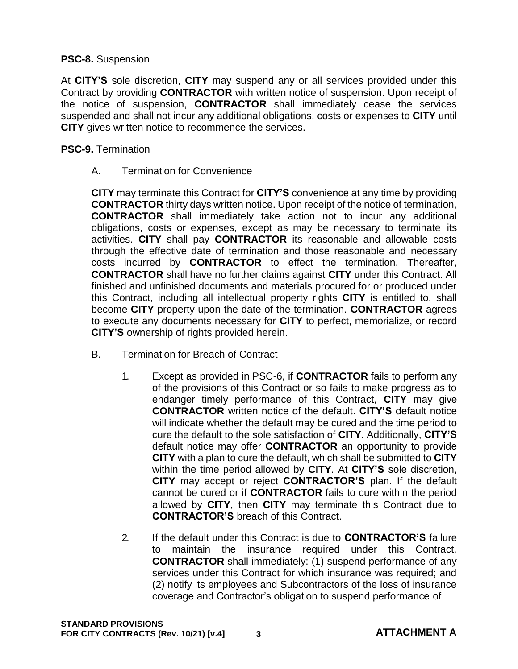## **PSC-8.** Suspension

At **CITY'S** sole discretion, **CITY** may suspend any or all services provided under this Contract by providing **CONTRACTOR** with written notice of suspension. Upon receipt of the notice of suspension, **CONTRACTOR** shall immediately cease the services suspended and shall not incur any additional obligations, costs or expenses to **CITY** until **CITY** gives written notice to recommence the services.

## **PSC-9.** Termination

A. Termination for Convenience

**CITY** may terminate this Contract for **CITY'S** convenience at any time by providing **CONTRACTOR** thirty days written notice. Upon receipt of the notice of termination, **CONTRACTOR** shall immediately take action not to incur any additional obligations, costs or expenses, except as may be necessary to terminate its activities. **CITY** shall pay **CONTRACTOR** its reasonable and allowable costs through the effective date of termination and those reasonable and necessary costs incurred by **CONTRACTOR** to effect the termination. Thereafter, **CONTRACTOR** shall have no further claims against **CITY** under this Contract. All finished and unfinished documents and materials procured for or produced under this Contract, including all intellectual property rights **CITY** is entitled to, shall become **CITY** property upon the date of the termination. **CONTRACTOR** agrees to execute any documents necessary for **CITY** to perfect, memorialize, or record **CITY'S** ownership of rights provided herein.

- B. Termination for Breach of Contract
	- 1. Except as provided in PSC-6, if **CONTRACTOR** fails to perform any of the provisions of this Contract or so fails to make progress as to endanger timely performance of this Contract, **CITY** may give **CONTRACTOR** written notice of the default. **CITY'S** default notice will indicate whether the default may be cured and the time period to cure the default to the sole satisfaction of **CITY**. Additionally, **CITY'S**  default notice may offer **CONTRACTOR** an opportunity to provide **CITY** with a plan to cure the default, which shall be submitted to **CITY**  within the time period allowed by **CITY**. At **CITY'S** sole discretion, **CITY** may accept or reject **CONTRACTOR'S** plan. If the default cannot be cured or if **CONTRACTOR** fails to cure within the period allowed by **CITY**, then **CITY** may terminate this Contract due to **CONTRACTOR'S** breach of this Contract.
	- 2. If the default under this Contract is due to **CONTRACTOR'S** failure to maintain the insurance required under this Contract, **CONTRACTOR** shall immediately: (1) suspend performance of any services under this Contract for which insurance was required; and (2) notify its employees and Subcontractors of the loss of insurance coverage and Contractor's obligation to suspend performance of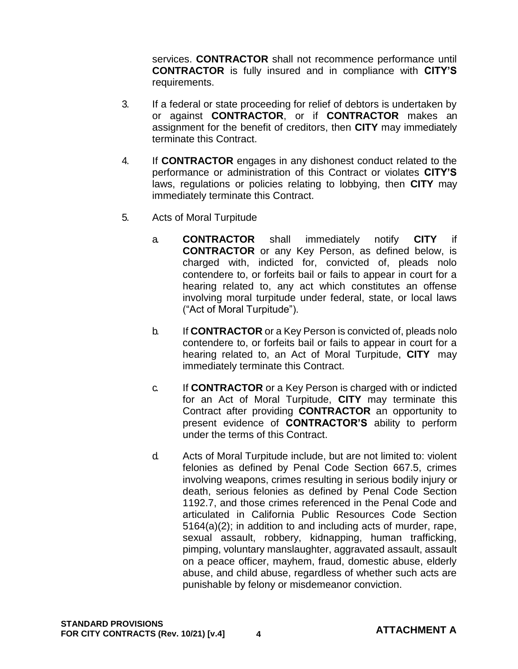services. **CONTRACTOR** shall not recommence performance until **CONTRACTOR** is fully insured and in compliance with **CITY'S**  requirements.

- 3. If a federal or state proceeding for relief of debtors is undertaken by or against **CONTRACTOR**, or if **CONTRACTOR** makes an assignment for the benefit of creditors, then **CITY** may immediately terminate this Contract.
- 4. If **CONTRACTOR** engages in any dishonest conduct related to the performance or administration of this Contract or violates **CITY'S**  laws, regulations or policies relating to lobbying, then **CITY** may immediately terminate this Contract.
- 5. Acts of Moral Turpitude
	- a. **CONTRACTOR** shall immediately notify **CITY** if **CONTRACTOR** or any Key Person, as defined below, is charged with, indicted for, convicted of, pleads nolo contendere to, or forfeits bail or fails to appear in court for a hearing related to, any act which constitutes an offense involving moral turpitude under federal, state, or local laws ("Act of Moral Turpitude").
	- b. If **CONTRACTOR** or a Key Person is convicted of, pleads nolo contendere to, or forfeits bail or fails to appear in court for a hearing related to, an Act of Moral Turpitude, **CITY** may immediately terminate this Contract.
	- c. If **CONTRACTOR** or a Key Person is charged with or indicted for an Act of Moral Turpitude, **CITY** may terminate this Contract after providing **CONTRACTOR** an opportunity to present evidence of **CONTRACTOR'S** ability to perform under the terms of this Contract.
	- d. Acts of Moral Turpitude include, but are not limited to: violent felonies as defined by Penal Code Section 667.5, crimes involving weapons, crimes resulting in serious bodily injury or death, serious felonies as defined by Penal Code Section 1192.7, and those crimes referenced in the Penal Code and articulated in California Public Resources Code Section 5164(a)(2); in addition to and including acts of murder, rape, sexual assault, robbery, kidnapping, human trafficking, pimping, voluntary manslaughter, aggravated assault, assault on a peace officer, mayhem, fraud, domestic abuse, elderly abuse, and child abuse, regardless of whether such acts are punishable by felony or misdemeanor conviction.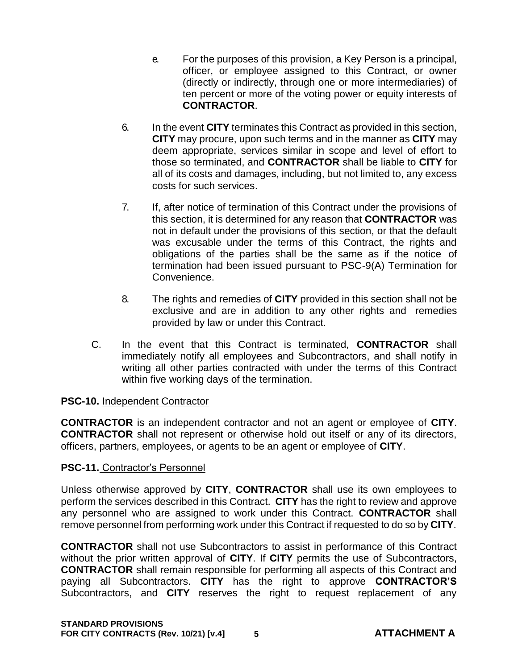- e. For the purposes of this provision, a Key Person is a principal, officer, or employee assigned to this Contract, or owner (directly or indirectly, through one or more intermediaries) of ten percent or more of the voting power or equity interests of **CONTRACTOR**.
- 6. In the event **CITY** terminates this Contract as provided in this section, **CITY** may procure, upon such terms and in the manner as **CITY** may deem appropriate, services similar in scope and level of effort to those so terminated, and **CONTRACTOR** shall be liable to **CITY** for all of its costs and damages, including, but not limited to, any excess costs for such services.
- 7. If, after notice of termination of this Contract under the provisions of this section, it is determined for any reason that **CONTRACTOR** was not in default under the provisions of this section, or that the default was excusable under the terms of this Contract, the rights and obligations of the parties shall be the same as if the notice of termination had been issued pursuant to PSC-9(A) Termination for Convenience.
- 8. The rights and remedies of **CITY** provided in this section shall not be exclusive and are in addition to any other rights and remedies provided by law or under this Contract.
- C. In the event that this Contract is terminated, **CONTRACTOR** shall immediately notify all employees and Subcontractors, and shall notify in writing all other parties contracted with under the terms of this Contract within five working days of the termination.

## **PSC-10.** Independent Contractor

**CONTRACTOR** is an independent contractor and not an agent or employee of **CITY**. **CONTRACTOR** shall not represent or otherwise hold out itself or any of its directors, officers, partners, employees, or agents to be an agent or employee of **CITY**.

#### **PSC-11.** Contractor's Personnel

Unless otherwise approved by **CITY**, **CONTRACTOR** shall use its own employees to perform the services described in this Contract. **CITY** has the right to review and approve any personnel who are assigned to work under this Contract. **CONTRACTOR** shall remove personnel from performing work under this Contract if requested to do so by **CITY**.

**CONTRACTOR** shall not use Subcontractors to assist in performance of this Contract without the prior written approval of **CITY**. If **CITY** permits the use of Subcontractors, **CONTRACTOR** shall remain responsible for performing all aspects of this Contract and paying all Subcontractors. **CITY** has the right to approve **CONTRACTOR'S**  Subcontractors, and **CITY** reserves the right to request replacement of any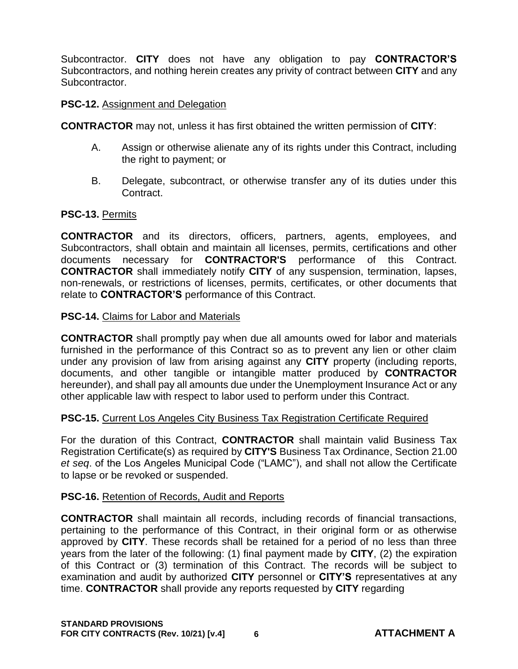Subcontractor. **CITY** does not have any obligation to pay **CONTRACTOR'S**  Subcontractors, and nothing herein creates any privity of contract between **CITY** and any Subcontractor.

#### **PSC-12.** Assignment and Delegation

**CONTRACTOR** may not, unless it has first obtained the written permission of **CITY**:

- A. Assign or otherwise alienate any of its rights under this Contract, including the right to payment; or
- B. Delegate, subcontract, or otherwise transfer any of its duties under this Contract.

## **PSC-13.** Permits

**CONTRACTOR** and its directors, officers, partners, agents, employees, and Subcontractors, shall obtain and maintain all licenses, permits, certifications and other documents necessary for **CONTRACTOR'S** performance of this Contract. **CONTRACTOR** shall immediately notify **CITY** of any suspension, termination, lapses, non-renewals, or restrictions of licenses, permits, certificates, or other documents that relate to **CONTRACTOR'S** performance of this Contract.

## **PSC-14.** Claims for Labor and Materials

**CONTRACTOR** shall promptly pay when due all amounts owed for labor and materials furnished in the performance of this Contract so as to prevent any lien or other claim under any provision of law from arising against any **CITY** property (including reports, documents, and other tangible or intangible matter produced by **CONTRACTOR**  hereunder), and shall pay all amounts due under the Unemployment Insurance Act or any other applicable law with respect to labor used to perform under this Contract.

## **PSC-15.** Current Los Angeles City Business Tax Registration Certificate Required

For the duration of this Contract, **CONTRACTOR** shall maintain valid Business Tax Registration Certificate(s) as required by **CITY'S** Business Tax Ordinance, Section 21.00 *et seq*. of the Los Angeles Municipal Code ("LAMC"), and shall not allow the Certificate to lapse or be revoked or suspended.

## **PSC-16.** Retention of Records, Audit and Reports

**CONTRACTOR** shall maintain all records, including records of financial transactions, pertaining to the performance of this Contract, in their original form or as otherwise approved by **CITY**. These records shall be retained for a period of no less than three years from the later of the following: (1) final payment made by **CITY**, (2) the expiration of this Contract or (3) termination of this Contract. The records will be subject to examination and audit by authorized **CITY** personnel or **CITY'S** representatives at any time. **CONTRACTOR** shall provide any reports requested by **CITY** regarding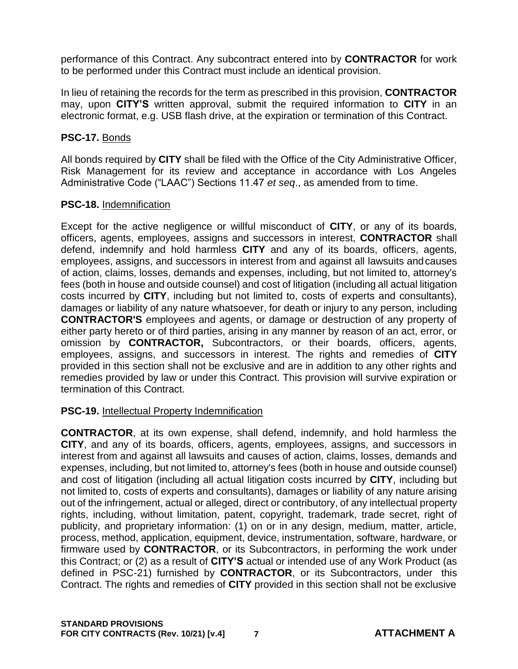performance of this Contract. Any subcontract entered into by **CONTRACTOR** for work to be performed under this Contract must include an identical provision.

In lieu of retaining the records for the term as prescribed in this provision, **CONTRACTOR**  may, upon **CITY'S** written approval, submit the required information to **CITY** in an electronic format, e.g. USB flash drive, at the expiration or termination of this Contract.

## **PSC-17.** Bonds

All bonds required by **CITY** shall be filed with the Office of the City Administrative Officer, Risk Management for its review and acceptance in accordance with Los Angeles Administrative Code ("LAAC") Sections 11.47 *et seq*., as amended from to time.

## **PSC-18.** Indemnification

Except for the active negligence or willful misconduct of **CITY**, or any of its boards, officers, agents, employees, assigns and successors in interest, **CONTRACTOR** shall defend, indemnify and hold harmless **CITY** and any of its boards, officers, agents, employees, assigns, and successors in interest from and against all lawsuits andcauses of action, claims, losses, demands and expenses, including, but not limited to, attorney's fees (both in house and outside counsel) and cost of litigation (including all actual litigation costs incurred by **CITY**, including but not limited to, costs of experts and consultants), damages or liability of any nature whatsoever, for death or injury to any person, including **CONTRACTOR'S** employees and agents, or damage or destruction of any property of either party hereto or of third parties, arising in any manner by reason of an act, error, or omission by **CONTRACTOR,** Subcontractors, or their boards, officers, agents, employees, assigns, and successors in interest. The rights and remedies of **CITY**  provided in this section shall not be exclusive and are in addition to any other rights and remedies provided by law or under this Contract. This provision will survive expiration or termination of this Contract.

## **PSC-19.** Intellectual Property Indemnification

**CONTRACTOR**, at its own expense, shall defend, indemnify, and hold harmless the **CITY**, and any of its boards, officers, agents, employees, assigns, and successors in interest from and against all lawsuits and causes of action, claims, losses, demands and expenses, including, but not limited to, attorney's fees (both in house and outside counsel) and cost of litigation (including all actual litigation costs incurred by **CITY**, including but not limited to, costs of experts and consultants), damages or liability of any nature arising out of the infringement, actual or alleged, direct or contributory, of any intellectual property rights, including, without limitation, patent, copyright, trademark, trade secret, right of publicity, and proprietary information: (1) on or in any design, medium, matter, article, process, method, application, equipment, device, instrumentation, software, hardware, or firmware used by **CONTRACTOR**, or its Subcontractors, in performing the work under this Contract; or (2) as a result of **CITY'S** actual or intended use of any Work Product (as defined in PSC-21) furnished by **CONTRACTOR**, or its Subcontractors, under this Contract. The rights and remedies of **CITY** provided in this section shall not be exclusive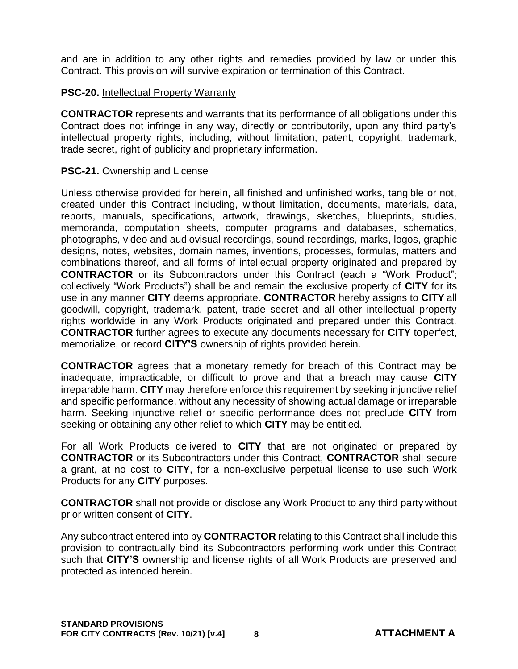and are in addition to any other rights and remedies provided by law or under this Contract. This provision will survive expiration or termination of this Contract.

## **PSC-20.** Intellectual Property Warranty

**CONTRACTOR** represents and warrants that its performance of all obligations under this Contract does not infringe in any way, directly or contributorily, upon any third party's intellectual property rights, including, without limitation, patent, copyright, trademark, trade secret, right of publicity and proprietary information.

## **PSC-21.** Ownership and License

Unless otherwise provided for herein, all finished and unfinished works, tangible or not, created under this Contract including, without limitation, documents, materials, data, reports, manuals, specifications, artwork, drawings, sketches, blueprints, studies, memoranda, computation sheets, computer programs and databases, schematics, photographs, video and audiovisual recordings, sound recordings, marks, logos, graphic designs, notes, websites, domain names, inventions, processes, formulas, matters and combinations thereof, and all forms of intellectual property originated and prepared by **CONTRACTOR** or its Subcontractors under this Contract (each a "Work Product"; collectively "Work Products") shall be and remain the exclusive property of **CITY** for its use in any manner **CITY** deems appropriate. **CONTRACTOR** hereby assigns to **CITY** all goodwill, copyright, trademark, patent, trade secret and all other intellectual property rights worldwide in any Work Products originated and prepared under this Contract. **CONTRACTOR** further agrees to execute any documents necessary for **CITY** toperfect, memorialize, or record **CITY'S** ownership of rights provided herein.

**CONTRACTOR** agrees that a monetary remedy for breach of this Contract may be inadequate, impracticable, or difficult to prove and that a breach may cause **CITY**  irreparable harm. **CITY** may therefore enforce this requirement by seeking injunctive relief and specific performance, without any necessity of showing actual damage or irreparable harm. Seeking injunctive relief or specific performance does not preclude **CITY** from seeking or obtaining any other relief to which **CITY** may be entitled.

For all Work Products delivered to **CITY** that are not originated or prepared by **CONTRACTOR** or its Subcontractors under this Contract, **CONTRACTOR** shall secure a grant, at no cost to **CITY**, for a non-exclusive perpetual license to use such Work Products for any **CITY** purposes.

**CONTRACTOR** shall not provide or disclose any Work Product to any third party without prior written consent of **CITY**.

Any subcontract entered into by **CONTRACTOR** relating to this Contract shall include this provision to contractually bind its Subcontractors performing work under this Contract such that **CITY'S** ownership and license rights of all Work Products are preserved and protected as intended herein.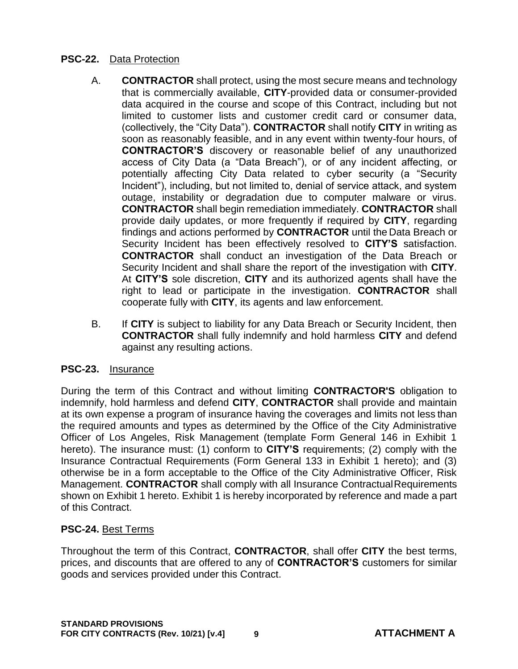## **PSC-22.** Data Protection

- A. **CONTRACTOR** shall protect, using the most secure means and technology that is commercially available, **CITY**-provided data or consumer-provided data acquired in the course and scope of this Contract, including but not limited to customer lists and customer credit card or consumer data, (collectively, the "City Data"). **CONTRACTOR** shall notify **CITY** in writing as soon as reasonably feasible, and in any event within twenty-four hours, of **CONTRACTOR'S** discovery or reasonable belief of any unauthorized access of City Data (a "Data Breach"), or of any incident affecting, or potentially affecting City Data related to cyber security (a "Security Incident"), including, but not limited to, denial of service attack, and system outage, instability or degradation due to computer malware or virus. **CONTRACTOR** shall begin remediation immediately. **CONTRACTOR** shall provide daily updates, or more frequently if required by **CITY**, regarding findings and actions performed by **CONTRACTOR** until the Data Breach or Security Incident has been effectively resolved to **CITY'S** satisfaction. **CONTRACTOR** shall conduct an investigation of the Data Breach or Security Incident and shall share the report of the investigation with **CITY**. At **CITY'S** sole discretion, **CITY** and its authorized agents shall have the right to lead or participate in the investigation. **CONTRACTOR** shall cooperate fully with **CITY**, its agents and law enforcement.
- B. If **CITY** is subject to liability for any Data Breach or Security Incident, then **CONTRACTOR** shall fully indemnify and hold harmless **CITY** and defend against any resulting actions.

## **PSC-23.** Insurance

During the term of this Contract and without limiting **CONTRACTOR'S** obligation to indemnify, hold harmless and defend **CITY**, **CONTRACTOR** shall provide and maintain at its own expense a program of insurance having the coverages and limits not less than the required amounts and types as determined by the Office of the City Administrative Officer of Los Angeles, Risk Management (template Form General 146 in Exhibit 1 hereto). The insurance must: (1) conform to **CITY'S** requirements; (2) comply with the Insurance Contractual Requirements (Form General 133 in Exhibit 1 hereto); and (3) otherwise be in a form acceptable to the Office of the City Administrative Officer, Risk Management. **CONTRACTOR** shall comply with all Insurance ContractualRequirements shown on Exhibit 1 hereto. Exhibit 1 is hereby incorporated by reference and made a part of this Contract.

## **PSC-24.** Best Terms

Throughout the term of this Contract, **CONTRACTOR**, shall offer **CITY** the best terms, prices, and discounts that are offered to any of **CONTRACTOR'S** customers for similar goods and services provided under this Contract.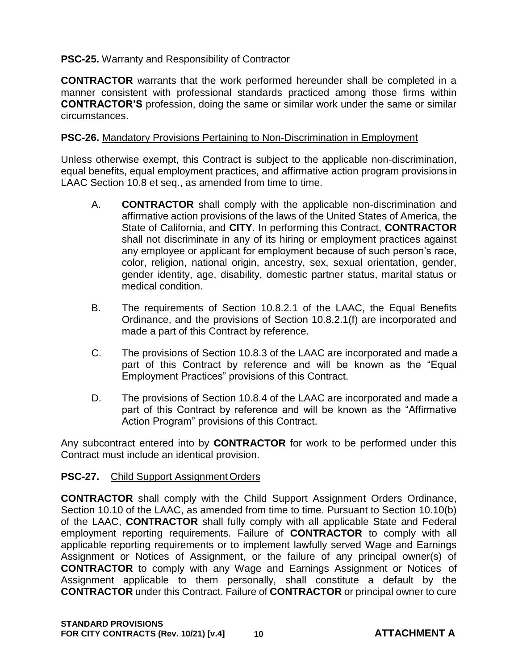## **PSC-25.** Warranty and Responsibility of Contractor

**CONTRACTOR** warrants that the work performed hereunder shall be completed in a manner consistent with professional standards practiced among those firms within **CONTRACTOR'S** profession, doing the same or similar work under the same or similar circumstances.

## **PSC-26.** Mandatory Provisions Pertaining to Non-Discrimination in Employment

Unless otherwise exempt, this Contract is subject to the applicable non-discrimination, equal benefits, equal employment practices, and affirmative action program provisions in LAAC Section 10.8 et seq., as amended from time to time.

- A. **CONTRACTOR** shall comply with the applicable non-discrimination and affirmative action provisions of the laws of the United States of America, the State of California, and **CITY**. In performing this Contract, **CONTRACTOR**  shall not discriminate in any of its hiring or employment practices against any employee or applicant for employment because of such person's race, color, religion, national origin, ancestry, sex, sexual orientation, gender, gender identity, age, disability, domestic partner status, marital status or medical condition.
- B. The requirements of Section 10.8.2.1 of the LAAC, the Equal Benefits Ordinance, and the provisions of Section 10.8.2.1(f) are incorporated and made a part of this Contract by reference.
- C. The provisions of Section 10.8.3 of the LAAC are incorporated and made a part of this Contract by reference and will be known as the "Equal Employment Practices" provisions of this Contract.
- D. The provisions of Section 10.8.4 of the LAAC are incorporated and made a part of this Contract by reference and will be known as the "Affirmative Action Program" provisions of this Contract.

Any subcontract entered into by **CONTRACTOR** for work to be performed under this Contract must include an identical provision.

## **PSC-27.** Child Support Assignment Orders

**CONTRACTOR** shall comply with the Child Support Assignment Orders Ordinance, Section 10.10 of the LAAC, as amended from time to time. Pursuant to Section 10.10(b) of the LAAC, **CONTRACTOR** shall fully comply with all applicable State and Federal employment reporting requirements. Failure of **CONTRACTOR** to comply with all applicable reporting requirements or to implement lawfully served Wage and Earnings Assignment or Notices of Assignment, or the failure of any principal owner(s) of **CONTRACTOR** to comply with any Wage and Earnings Assignment or Notices of Assignment applicable to them personally, shall constitute a default by the **CONTRACTOR** under this Contract. Failure of **CONTRACTOR** or principal owner to cure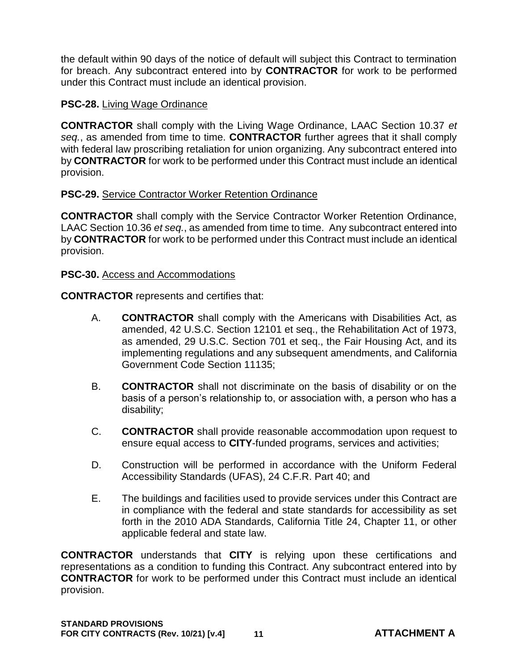the default within 90 days of the notice of default will subject this Contract to termination for breach. Any subcontract entered into by **CONTRACTOR** for work to be performed under this Contract must include an identical provision.

## **PSC-28.** Living Wage Ordinance

**CONTRACTOR** shall comply with the Living Wage Ordinance, LAAC Section 10.37 *et seq.*, as amended from time to time. **CONTRACTOR** further agrees that it shall comply with federal law proscribing retaliation for union organizing. Any subcontract entered into by **CONTRACTOR** for work to be performed under this Contract must include an identical provision.

## **PSC-29.** Service Contractor Worker Retention Ordinance

**CONTRACTOR** shall comply with the Service Contractor Worker Retention Ordinance, LAAC Section 10.36 *et seq.*, as amended from time to time. Any subcontract entered into by **CONTRACTOR** for work to be performed under this Contract must include an identical provision.

## **PSC-30.** Access and Accommodations

**CONTRACTOR** represents and certifies that:

- A. **CONTRACTOR** shall comply with the Americans with Disabilities Act, as amended, 42 U.S.C. Section 12101 et seq., the Rehabilitation Act of 1973, as amended, 29 U.S.C. Section 701 et seq., the Fair Housing Act, and its implementing regulations and any subsequent amendments, and California Government Code Section 11135;
- B. **CONTRACTOR** shall not discriminate on the basis of disability or on the basis of a person's relationship to, or association with, a person who has a disability;
- C. **CONTRACTOR** shall provide reasonable accommodation upon request to ensure equal access to **CITY**-funded programs, services and activities;
- D. Construction will be performed in accordance with the Uniform Federal Accessibility Standards (UFAS), 24 C.F.R. Part 40; and
- E. The buildings and facilities used to provide services under this Contract are in compliance with the federal and state standards for accessibility as set forth in the 2010 ADA Standards, California Title 24, Chapter 11, or other applicable federal and state law.

**CONTRACTOR** understands that **CITY** is relying upon these certifications and representations as a condition to funding this Contract. Any subcontract entered into by **CONTRACTOR** for work to be performed under this Contract must include an identical provision.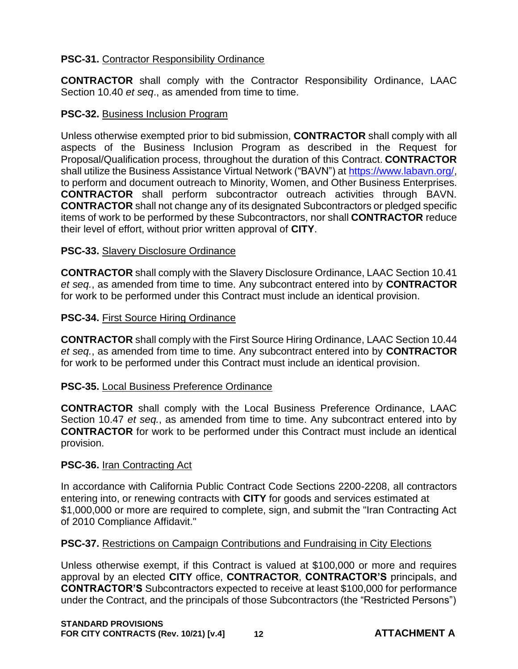## **PSC-31.** Contractor Responsibility Ordinance

**CONTRACTOR** shall comply with the Contractor Responsibility Ordinance, LAAC Section 10.40 *et seq*., as amended from time to time.

## **PSC-32.** Business Inclusion Program

Unless otherwise exempted prior to bid submission, **CONTRACTOR** shall comply with all aspects of the Business Inclusion Program as described in the Request for Proposal/Qualification process, throughout the duration of this Contract. **CONTRACTOR**  shall utilize the Business Assistance Virtual Network ("BAVN") at [https://www.labavn.org/,](https://www.labavn.org/) to perform and document outreach to Minority, Women, and Other Business Enterprises. **CONTRACTOR** shall perform subcontractor outreach activities through BAVN. **CONTRACTOR** shall not change any of its designated Subcontractors or pledged specific items of work to be performed by these Subcontractors, nor shall **CONTRACTOR** reduce their level of effort, without prior written approval of **CITY**.

## **PSC-33.** Slavery Disclosure Ordinance

**CONTRACTOR** shall comply with the Slavery Disclosure Ordinance, LAAC Section 10.41 *et seq.*, as amended from time to time. Any subcontract entered into by **CONTRACTOR**  for work to be performed under this Contract must include an identical provision.

#### **PSC-34.** First Source Hiring Ordinance

**CONTRACTOR** shall comply with the First Source Hiring Ordinance, LAAC Section 10.44 *et seq.*, as amended from time to time. Any subcontract entered into by **CONTRACTOR**  for work to be performed under this Contract must include an identical provision.

## **PSC-35.** Local Business Preference Ordinance

**CONTRACTOR** shall comply with the Local Business Preference Ordinance, LAAC Section 10.47 *et seq.*, as amended from time to time. Any subcontract entered into by **CONTRACTOR** for work to be performed under this Contract must include an identical provision.

## **PSC-36.** Iran Contracting Act

In accordance with California Public Contract Code Sections 2200-2208, all contractors entering into, or renewing contracts with **CITY** for goods and services estimated at \$1,000,000 or more are required to complete, sign, and submit the "Iran Contracting Act of 2010 Compliance Affidavit."

## **PSC-37.** Restrictions on Campaign Contributions and Fundraising in City Elections

Unless otherwise exempt, if this Contract is valued at \$100,000 or more and requires approval by an elected **CITY** office, **CONTRACTOR**, **CONTRACTOR'S** principals, and **CONTRACTOR'S** Subcontractors expected to receive at least \$100,000 for performance under the Contract, and the principals of those Subcontractors (the "Restricted Persons")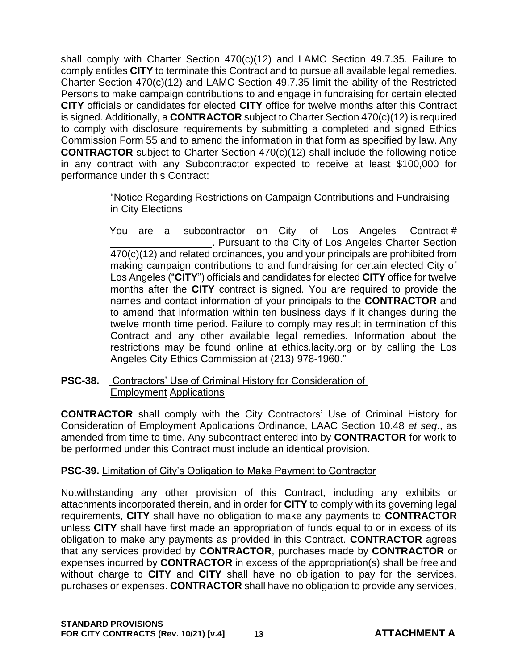shall comply with Charter Section 470(c)(12) and LAMC Section 49.7.35. Failure to comply entitles **CITY** to terminate this Contract and to pursue all available legal remedies. Charter Section 470(c)(12) and LAMC Section 49.7.35 limit the ability of the Restricted Persons to make campaign contributions to and engage in fundraising for certain elected **CITY** officials or candidates for elected **CITY** office for twelve months after this Contract is signed. Additionally, a **CONTRACTOR** subject to Charter Section 470(c)(12) is required to comply with disclosure requirements by submitting a completed and signed Ethics Commission Form 55 and to amend the information in that form as specified by law. Any **CONTRACTOR** subject to Charter Section 470(c)(12) shall include the following notice in any contract with any Subcontractor expected to receive at least \$100,000 for performance under this Contract:

> "Notice Regarding Restrictions on Campaign Contributions and Fundraising in City Elections

You are a subcontractor on City of Los Angeles Contract # . Pursuant to the City of Los Angeles Charter Section 470(c)(12) and related ordinances, you and your principals are prohibited from making campaign contributions to and fundraising for certain elected City of Los Angeles ("**CITY**") officials and candidates for elected **CITY** office for twelve months after the **CITY** contract is signed. You are required to provide the names and contact information of your principals to the **CONTRACTOR** and to amend that information within ten business days if it changes during the twelve month time period. Failure to comply may result in termination of this Contract and any other available legal remedies. Information about the restrictions may be found online at ethics.lacity.org or by calling the Los Angeles City Ethics Commission at (213) 978-1960."

## **PSC-38.** Contractors' Use of Criminal History for Consideration of Employment Applications

**CONTRACTOR** shall comply with the City Contractors' Use of Criminal History for Consideration of Employment Applications Ordinance, LAAC Section 10.48 *et seq*., as amended from time to time. Any subcontract entered into by **CONTRACTOR** for work to be performed under this Contract must include an identical provision.

## **PSC-39.** Limitation of City's Obligation to Make Payment to Contractor

Notwithstanding any other provision of this Contract, including any exhibits or attachments incorporated therein, and in order for **CITY** to comply with its governing legal requirements, **CITY** shall have no obligation to make any payments to **CONTRACTOR**  unless **CITY** shall have first made an appropriation of funds equal to or in excess of its obligation to make any payments as provided in this Contract. **CONTRACTOR** agrees that any services provided by **CONTRACTOR**, purchases made by **CONTRACTOR** or expenses incurred by **CONTRACTOR** in excess of the appropriation(s) shall be free and without charge to **CITY** and **CITY** shall have no obligation to pay for the services, purchases or expenses. **CONTRACTOR** shall have no obligation to provide any services,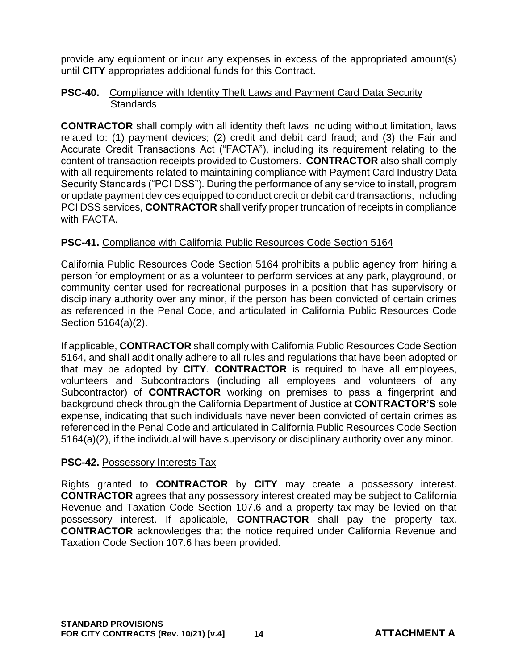provide any equipment or incur any expenses in excess of the appropriated amount(s) until **CITY** appropriates additional funds for this Contract.

## **PSC-40.** Compliance with Identity Theft Laws and Payment Card Data Security **Standards**

**CONTRACTOR** shall comply with all identity theft laws including without limitation, laws related to: (1) payment devices; (2) credit and debit card fraud; and (3) the Fair and Accurate Credit Transactions Act ("FACTA"), including its requirement relating to the content of transaction receipts provided to Customers. **CONTRACTOR** also shall comply with all requirements related to maintaining compliance with Payment Card Industry Data Security Standards ("PCI DSS"). During the performance of any service to install, program or update payment devices equipped to conduct credit or debit card transactions, including PCI DSS services, **CONTRACTOR** shall verify proper truncation of receipts in compliance with FACTA.

## **PSC-41.** Compliance with California Public Resources Code Section 5164

California Public Resources Code Section 5164 prohibits a public agency from hiring a person for employment or as a volunteer to perform services at any park, playground, or community center used for recreational purposes in a position that has supervisory or disciplinary authority over any minor, if the person has been convicted of certain crimes as referenced in the Penal Code, and articulated in California Public Resources Code Section 5164(a)(2).

If applicable, **CONTRACTOR** shall comply with California Public Resources Code Section 5164, and shall additionally adhere to all rules and regulations that have been adopted or that may be adopted by **CITY**. **CONTRACTOR** is required to have all employees, volunteers and Subcontractors (including all employees and volunteers of any Subcontractor) of **CONTRACTOR** working on premises to pass a fingerprint and background check through the California Department of Justice at **CONTRACTOR'S** sole expense, indicating that such individuals have never been convicted of certain crimes as referenced in the Penal Code and articulated in California Public Resources Code Section 5164(a)(2), if the individual will have supervisory or disciplinary authority over any minor.

# **PSC-42. Possessory Interests Tax**

Rights granted to **CONTRACTOR** by **CITY** may create a possessory interest. **CONTRACTOR** agrees that any possessory interest created may be subject to California Revenue and Taxation Code Section 107.6 and a property tax may be levied on that possessory interest. If applicable, **CONTRACTOR** shall pay the property tax. **CONTRACTOR** acknowledges that the notice required under California Revenue and Taxation Code Section 107.6 has been provided.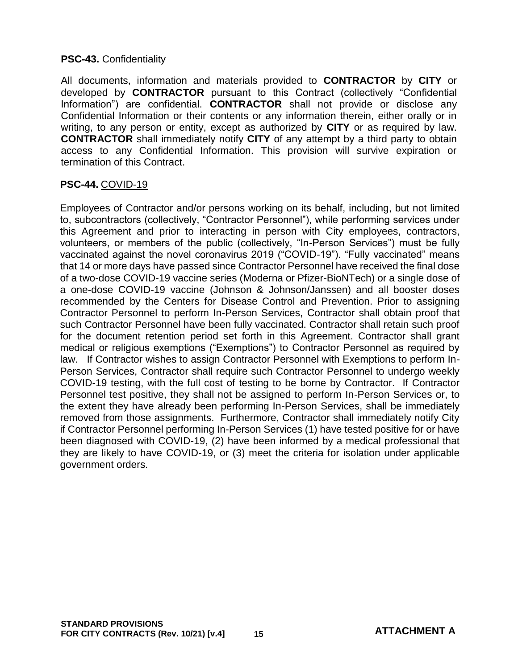## **PSC-43. Confidentiality**

All documents, information and materials provided to **CONTRACTOR** by **CITY** or developed by **CONTRACTOR** pursuant to this Contract (collectively "Confidential Information") are confidential. **CONTRACTOR** shall not provide or disclose any Confidential Information or their contents or any information therein, either orally or in writing, to any person or entity, except as authorized by **CITY** or as required by law. **CONTRACTOR** shall immediately notify **CITY** of any attempt by a third party to obtain access to any Confidential Information. This provision will survive expiration or termination of this Contract.

## **PSC-44.** COVID-19

Employees of Contractor and/or persons working on its behalf, including, but not limited to, subcontractors (collectively, "Contractor Personnel"), while performing services under this Agreement and prior to interacting in person with City employees, contractors, volunteers, or members of the public (collectively, "In-Person Services") must be fully vaccinated against the novel coronavirus 2019 ("COVID-19"). "Fully vaccinated" means that 14 or more days have passed since Contractor Personnel have received the final dose of a two-dose COVID-19 vaccine series (Moderna or Pfizer-BioNTech) or a single dose of a one-dose COVID-19 vaccine (Johnson & Johnson/Janssen) and all booster doses recommended by the Centers for Disease Control and Prevention. Prior to assigning Contractor Personnel to perform In-Person Services, Contractor shall obtain proof that such Contractor Personnel have been fully vaccinated. Contractor shall retain such proof for the document retention period set forth in this Agreement. Contractor shall grant medical or religious exemptions ("Exemptions") to Contractor Personnel as required by law. If Contractor wishes to assign Contractor Personnel with Exemptions to perform In-Person Services, Contractor shall require such Contractor Personnel to undergo weekly COVID-19 testing, with the full cost of testing to be borne by Contractor. If Contractor Personnel test positive, they shall not be assigned to perform In-Person Services or, to the extent they have already been performing In-Person Services, shall be immediately removed from those assignments. Furthermore, Contractor shall immediately notify City if Contractor Personnel performing In-Person Services (1) have tested positive for or have been diagnosed with COVID-19, (2) have been informed by a medical professional that they are likely to have COVID-19, or (3) meet the criteria for isolation under applicable government orders.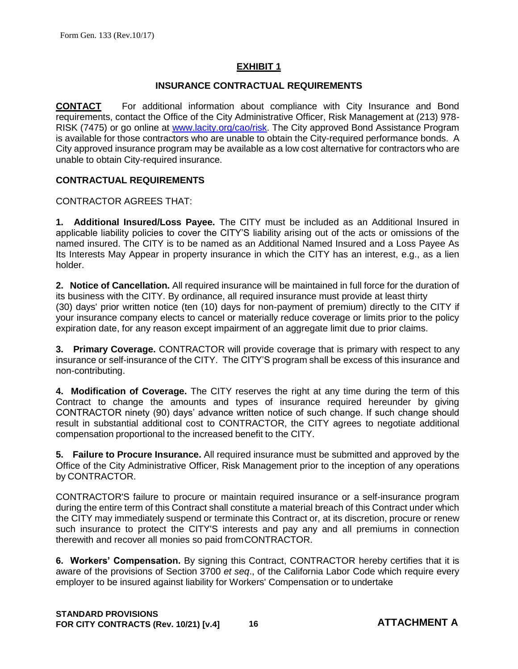#### **EXHIBIT 1**

#### **INSURANCE CONTRACTUAL REQUIREMENTS**

**CONTACT** For additional information about compliance with City Insurance and Bond requirements, contact the Office of the City Administrative Officer, Risk Management at (213) 978- RISK (7475) or go online at [www.lacity.org/cao/risk.](http://www.lacity.org/cao/risk/) The City approved Bond Assistance Program is available for those contractors who are unable to obtain the City-required performance bonds. A City approved insurance program may be available as a low cost alternative for contractors who are unable to obtain City-required insurance.

#### **CONTRACTUAL REQUIREMENTS**

CONTRACTOR AGREES THAT:

**1. Additional Insured/Loss Payee.** The CITY must be included as an Additional Insured in applicable liability policies to cover the CITY'S liability arising out of the acts or omissions of the named insured. The CITY is to be named as an Additional Named Insured and a Loss Payee As Its Interests May Appear in property insurance in which the CITY has an interest, e.g., as a lien holder.

**2. Notice of Cancellation.** All required insurance will be maintained in full force for the duration of its business with the CITY. By ordinance, all required insurance must provide at least thirty (30) days' prior written notice (ten (10) days for non-payment of premium) directly to the CITY if your insurance company elects to cancel or materially reduce coverage or limits prior to the policy expiration date, for any reason except impairment of an aggregate limit due to prior claims.

**3. Primary Coverage.** CONTRACTOR will provide coverage that is primary with respect to any insurance or self-insurance of the CITY. The CITY'S program shall be excess of this insurance and non-contributing.

**4. Modification of Coverage.** The CITY reserves the right at any time during the term of this Contract to change the amounts and types of insurance required hereunder by giving CONTRACTOR ninety (90) days' advance written notice of such change. If such change should result in substantial additional cost to CONTRACTOR, the CITY agrees to negotiate additional compensation proportional to the increased benefit to the CITY.

**5. Failure to Procure Insurance.** All required insurance must be submitted and approved by the Office of the City Administrative Officer, Risk Management prior to the inception of any operations by CONTRACTOR.

CONTRACTOR'S failure to procure or maintain required insurance or a self-insurance program during the entire term of this Contract shall constitute a material breach of this Contract under which the CITY may immediately suspend or terminate this Contract or, at its discretion, procure or renew such insurance to protect the CITY'S interests and pay any and all premiums in connection therewith and recover all monies so paid fromCONTRACTOR.

**6. Workers' Compensation.** By signing this Contract, CONTRACTOR hereby certifies that it is aware of the provisions of Section 3700 *et seq*., of the California Labor Code which require every employer to be insured against liability for Workers' Compensation or to undertake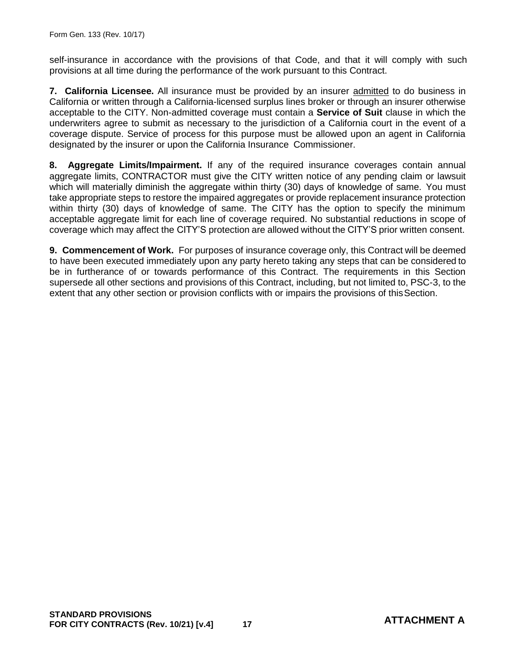self-insurance in accordance with the provisions of that Code, and that it will comply with such provisions at all time during the performance of the work pursuant to this Contract.

**7. California Licensee.** All insurance must be provided by an insurer admitted to do business in California or written through a California-licensed surplus lines broker or through an insurer otherwise acceptable to the CITY. Non-admitted coverage must contain a **Service of Suit** clause in which the underwriters agree to submit as necessary to the jurisdiction of a California court in the event of a coverage dispute. Service of process for this purpose must be allowed upon an agent in California designated by the insurer or upon the California Insurance Commissioner.

**8. Aggregate Limits/Impairment.** If any of the required insurance coverages contain annual aggregate limits, CONTRACTOR must give the CITY written notice of any pending claim or lawsuit which will materially diminish the aggregate within thirty (30) days of knowledge of same. You must take appropriate steps to restore the impaired aggregates or provide replacement insurance protection within thirty (30) days of knowledge of same. The CITY has the option to specify the minimum acceptable aggregate limit for each line of coverage required. No substantial reductions in scope of coverage which may affect the CITY'S protection are allowed without the CITY'S prior written consent.

**9. Commencement of Work.** For purposes of insurance coverage only, this Contract will be deemed to have been executed immediately upon any party hereto taking any steps that can be considered to be in furtherance of or towards performance of this Contract. The requirements in this Section supersede all other sections and provisions of this Contract, including, but not limited to, PSC-3, to the extent that any other section or provision conflicts with or impairs the provisions of thisSection.